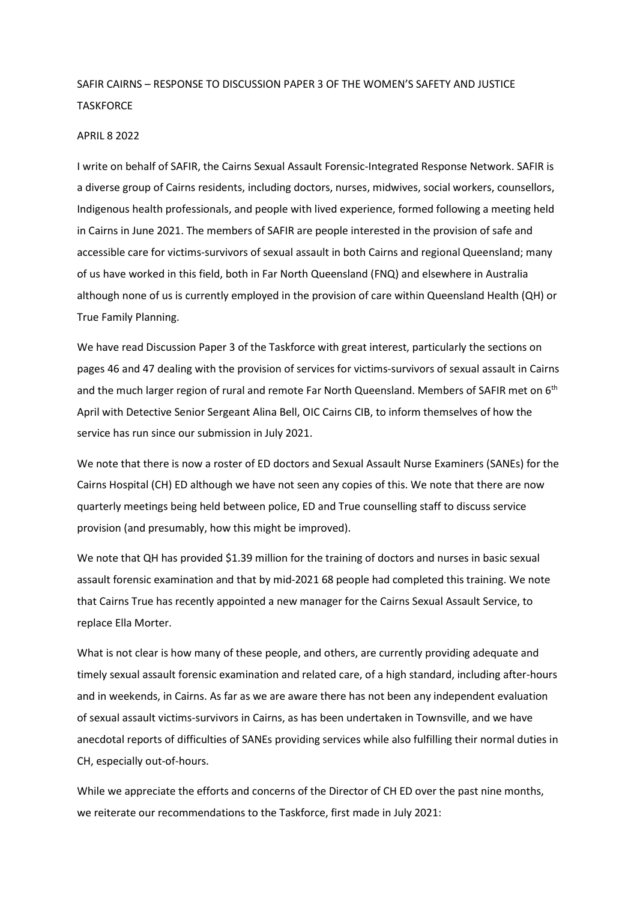## SAFIR CAIRNS – RESPONSE TO DISCUSSION PAPER 3 OF THE WOMEN'S SAFETY AND JUSTICE **TASKFORCE**

## APRIL 8 2022

I write on behalf of SAFIR, the Cairns Sexual Assault Forensic-Integrated Response Network. SAFIR is a diverse group of Cairns residents, including doctors, nurses, midwives, social workers, counsellors, Indigenous health professionals, and people with lived experience, formed following a meeting held in Cairns in June 2021. The members of SAFIR are people interested in the provision of safe and accessible care for victims-survivors of sexual assault in both Cairns and regional Queensland; many of us have worked in this field, both in Far North Queensland (FNQ) and elsewhere in Australia although none of us is currently employed in the provision of care within Queensland Health (QH) or True Family Planning.

We have read Discussion Paper 3 of the Taskforce with great interest, particularly the sections on pages 46 and 47 dealing with the provision of services for victims-survivors of sexual assault in Cairns and the much larger region of rural and remote Far North Queensland. Members of SAFIR met on 6<sup>th</sup> April with Detective Senior Sergeant Alina Bell, OIC Cairns CIB, to inform themselves of how the service has run since our submission in July 2021.

We note that there is now a roster of ED doctors and Sexual Assault Nurse Examiners (SANEs) for the Cairns Hospital (CH) ED although we have not seen any copies of this. We note that there are now quarterly meetings being held between police, ED and True counselling staff to discuss service provision (and presumably, how this might be improved).

We note that QH has provided \$1.39 million for the training of doctors and nurses in basic sexual assault forensic examination and that by mid-2021 68 people had completed this training. We note that Cairns True has recently appointed a new manager for the Cairns Sexual Assault Service, to replace Ella Morter.

What is not clear is how many of these people, and others, are currently providing adequate and timely sexual assault forensic examination and related care, of a high standard, including after-hours and in weekends, in Cairns. As far as we are aware there has not been any independent evaluation of sexual assault victims-survivors in Cairns, as has been undertaken in Townsville, and we have anecdotal reports of difficulties of SANEs providing services while also fulfilling their normal duties in CH, especially out-of-hours.

While we appreciate the efforts and concerns of the Director of CH ED over the past nine months, we reiterate our recommendations to the Taskforce, first made in July 2021: